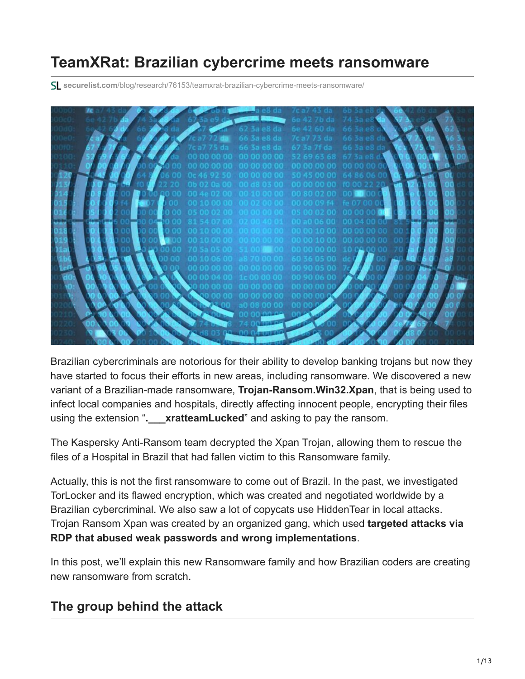# **TeamXRat: Brazilian cybercrime meets ransomware**

**securelist.com**[/blog/research/76153/teamxrat-brazilian-cybercrime-meets-ransomware/](https://securelist.com/blog/research/76153/teamxrat-brazilian-cybercrime-meets-ransomware/)



Brazilian cybercriminals are notorious for their ability to develop banking trojans but now they have started to focus their efforts in new areas, including ransomware. We discovered a new variant of a Brazilian-made ransomware, **Trojan-Ransom.Win32.Xpan**, that is being used to infect local companies and hospitals, directly affecting innocent people, encrypting their files using the extension "**.\_\_\_xratteamLucked**" and asking to pay the ransom.

The Kaspersky Anti-Ransom team decrypted the Xpan Trojan, allowing them to rescue the files of a Hospital in Brazil that had fallen victim to this Ransomware family.

Actually, this is not the first ransomware to come out of Brazil. In the past, we investigated [TorLocker](https://securelist.com/a-flawed-ransomware-encryptor/69481/) and its flawed encryption, which was created and negotiated worldwide by a Brazilian cybercriminal. We also saw a lot of copycats use [HiddenTear](https://securelist.com/the-evolution-of-brazilian-malware/74325/#ransomware) in local attacks. Trojan Ransom Xpan was created by an organized gang, which used **targeted attacks via RDP that abused weak passwords and wrong implementations**.

In this post, we'll explain this new Ransomware family and how Brazilian coders are creating new ransomware from scratch.

### **The group behind the attack**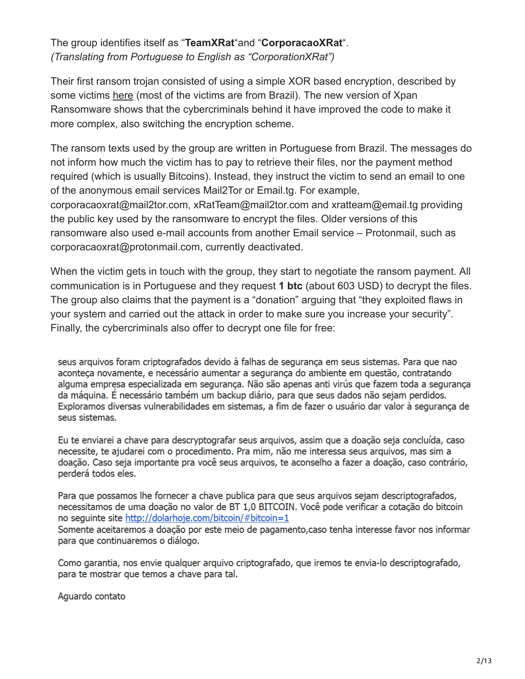#### The group identifies itself as "**TeamXRat**"and "**CorporacaoXRat**". *(Translating from Portuguese to English as "CorporationXRat")*

Their first ransom trojan consisted of using a simple XOR based encryption, described by some victims [here](http://www.bleepingcomputer.com/forums/t/623659/team-xrat-ransomware-help-and-support-topic-c0rp0rc0xr-extension/) (most of the victims are from Brazil). The new version of Xpan Ransomware shows that the cybercriminals behind it have improved the code to make it more complex, also switching the encryption scheme.

The ransom texts used by the group are written in Portuguese from Brazil. The messages do not inform how much the victim has to pay to retrieve their files, nor the payment method required (which is usually Bitcoins). Instead, they instruct the victim to send an email to one of the anonymous email services Mail2Tor or Email.tg. For example, corporacaoxrat@mail2tor.com, xRatTeam@mail2tor.com and xratteam@email.tg providing the public key used by the ransomware to encrypt the files. Older versions of this ransomware also used e-mail accounts from another Email service – Protonmail, such as corporacaoxrat@protonmail.com, currently deactivated.

When the victim gets in touch with the group, they start to negotiate the ransom payment. All communication is in Portuguese and they request **1 btc** (about 603 USD) to decrypt the files. The group also claims that the payment is a "donation" arguing that "they exploited flaws in your system and carried out the attack in order to make sure you increase your security". Finally, the cybercriminals also offer to decrypt one file for free:

seus arguivos foram criptografados devido à falhas de segurança em seus sistemas. Para que nao aconteca novamente, e necessário aumentar a seguranca do ambiente em questão, contratando alguma empresa especializada em segurança. Não são apenas anti virús que fazem toda a segurança da máquina. É necessário também um backup diário, para que seus dados não sejam perdidos. Exploramos diversas vulnerabilidades em sistemas, a fim de fazer o usuário dar valor à segurança de seus sistemas.

Eu te enviarei a chave para descryptografar seus arquivos, assim que a doação seja concluída, caso necessite, te ajudarei com o procedimento. Pra mim, não me interessa seus arquivos, mas sim a doação. Caso seja importante pra você seus arquivos, te aconselho a fazer a doação, caso contrário, perderá todos eles.

Para que possamos lhe fornecer a chave publica para que seus arquivos sejam descriptografados, necessitamos de uma doação no valor de BT 1,0 BITCOIN. Você pode verificar a cotação do bitcoin no seguinte site http://dolarhoje.com/bitcoin/#bitcoin=1 Somente aceitaremos a doação por este meio de pagamento, caso tenha interesse favor nos informar para que continuaremos o diálogo.

Como garantia, nos envie qualquer arquivo criptografado, que iremos te envia-lo descriptografado, para te mostrar que temos a chave para tal.

Aguardo contato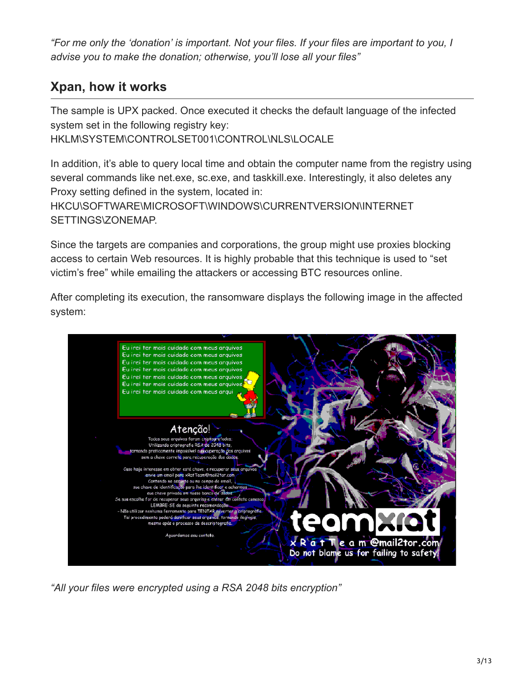*"For me only the 'donation' is important. Not your files. If your files are important to you, I advise you to make the donation; otherwise, you'll lose all your files"*

### **Xpan, how it works**

The sample is UPX packed. Once executed it checks the default language of the infected system set in the following registry key: HKLM\SYSTEM\CONTROLSET001\CONTROL\NLS\LOCALE

In addition, it's able to query local time and obtain the computer name from the registry using several commands like net.exe, sc.exe, and taskkill.exe. Interestingly, it also deletes any Proxy setting defined in the system, located in: HKCU\SOFTWARE\MICROSOFT\WINDOWS\CURRENTVERSION\INTERNET SETTINGS\ZONEMAP.

Since the targets are companies and corporations, the group might use proxies blocking access to certain Web resources. It is highly probable that this technique is used to "set victim's free" while emailing the attackers or accessing BTC resources online.

After completing its execution, the ransomware displays the following image in the affected system:



*"All your files were encrypted using a RSA 2048 bits encryption"*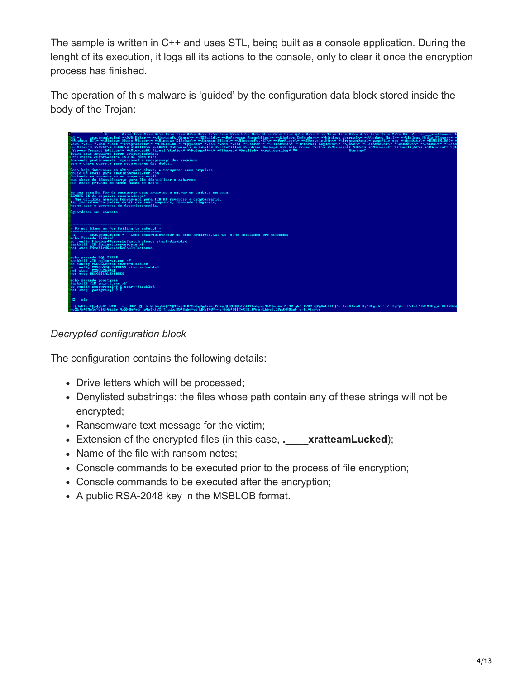The sample is written in C++ and uses STL, being built as a console application. During the lenght of its execution, it logs all its actions to the console, only to clear it once the encryption process has finished.

The operation of this malware is 'guided' by the configuration data block stored inside the body of the Trojan:



*Decrypted configuration block*

The configuration contains the following details:

- Drive letters which will be processed;
- Denylisted substrings: the files whose path contain any of these strings will not be encrypted;
- Ransomware text message for the victim;
- Extension of the encrypted files (in this case, **.\_\_\_\_xratteamLucked**);
- Name of the file with ransom notes;
- Console commands to be executed prior to the process of file encryption;
- Console commands to be executed after the encryption;
- A public RSA-2048 key in the MSBLOB format.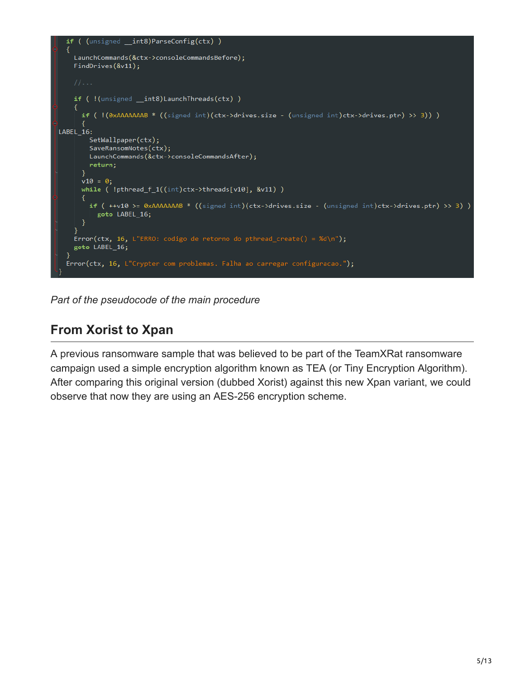

*Part of the pseudocode of the main procedure*

### **From Xorist to Xpan**

A previous ransomware sample that was believed to be part of the TeamXRat ransomware campaign used a simple encryption algorithm known as TEA (or Tiny Encryption Algorithm). After comparing this original version (dubbed Xorist) against this new Xpan variant, we could observe that now they are using an AES-256 encryption scheme.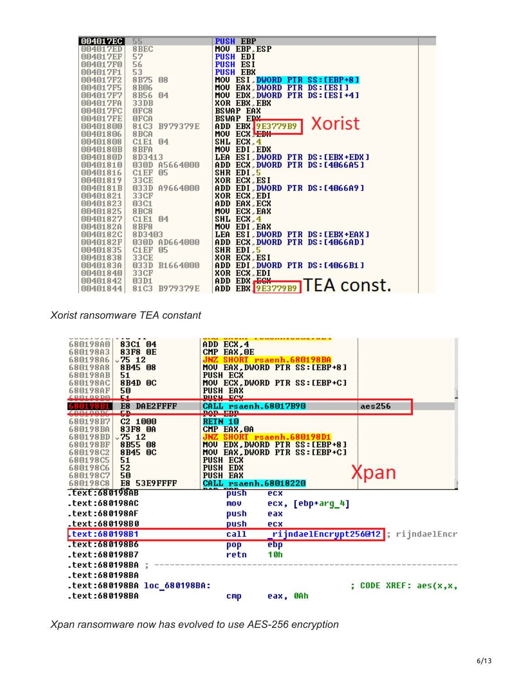| 004017EC | 55                      | <b>PUSH EBP</b>                                 |
|----------|-------------------------|-------------------------------------------------|
| 004017ED | 8BEC                    | MOU EBP, ESP                                    |
| 004017EF | 57                      | <b>PUSH EDI</b>                                 |
| 004017F0 | 56                      | <b>PUSH ESI</b>                                 |
| 004017F1 | 53                      | <b>PUSH EBX</b>                                 |
| 004017F2 | 8B75<br>08              | MOU ESI, DWORD PTR SS: [EBP+8]                  |
| 004017F5 | <b>8B06</b>             | EAX, DWORD PTR DS: [ESI]<br><b>MOU</b>          |
| 004017F7 | 8B56<br>$\mathbb{0}4$   | MOU<br>EDX DWORD PTR DS: [ESI+4]                |
| 004017FA | 33 <sub>DB</sub>        | <b>XOR EBX, EBX</b>                             |
| 004017FC | OFC8                    | <b>BSWAP EAX</b>                                |
| 004017FE | OFCA                    | BSWAP EDX                                       |
| 00401800 | 81C3<br>B979379E        | Xorist<br>ADD EBX 9E3779B9                      |
| 00401806 | 8 <sub>BCA</sub>        | ECX EDI<br>MOU                                  |
| 00401808 | <b>C1E1</b><br>04       | SHL ECX 4                                       |
| 0040180B | 8BFA                    | MOU EDI, EDX                                    |
| 0040180D | 8D3413                  | LEA ESI DWORD PTR DS:[EBX+EDX]                  |
| 00401810 | 030D A5664000           | ADD ECX DWORD PTR DS:[4066A5]                   |
| 00401816 | C <sub>1</sub> EF<br>05 | SHR EDI <sub>5</sub>                            |
| 00401819 | 33CE                    | <b>XOR ECX, ESI</b>                             |
| 0040181B | 033D A9664000           | ADD EDI DWORD PTR DS:[4066A9]                   |
| 00401821 | 33CF                    | <b>XOR ECX, EDI</b>                             |
| 00401823 | 03C1                    | ADD EAX, ECX                                    |
| 00401825 | 8BC8                    | MOU ECX EAX                                     |
| 00401827 | C1 E1<br>04             | SHL ECX 4                                       |
| 0040182A | <b>8BF8</b>             | MOU<br>EDI EAX                                  |
| 0040182C | 8D3403                  | LEA ESI DWORD PTR DS: [EBX+EAX]                 |
| 0040182F | 030D AD664000           | ADD ECX DWORD PTR DS:[4066AD]                   |
| 00401835 | C1EF<br>05              | SHR EDI <sub>5</sub>                            |
| 00401838 | 33CE                    | <b>XOR ECX, ESI</b>                             |
| 0040183A | 033D<br><b>B1664000</b> | ADD EDI, DWORD PTR DS: [4066B1]                 |
| 00401840 | 33CF                    | <b>XOR ECX, EDI</b>                             |
| 00401842 | 03D1                    | ADD EDX ECX<br>EBR <b>[9E3779B9]</b> TEA const. |
| 00401844 | 81C3<br>B979379E        | ADD                                             |

*Xorist ransomware TEA constant*



*Xpan ransomware now has evolved to use AES-256 encryption*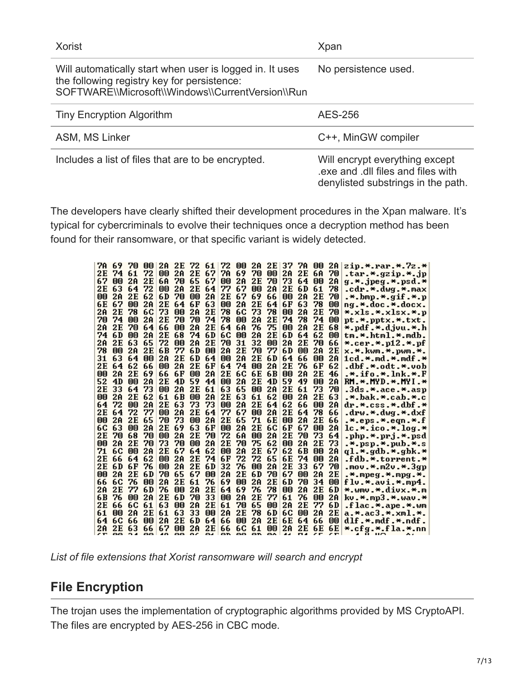| Xorist                                                                                                                                                       | Xpan                                                                                                      |
|--------------------------------------------------------------------------------------------------------------------------------------------------------------|-----------------------------------------------------------------------------------------------------------|
| Will automatically start when user is logged in. It uses<br>the following registry key for persistence:<br>SOFTWARE\\Microsoft\\Windows\\CurrentVersion\\Run | No persistence used.                                                                                      |
| <b>Tiny Encryption Algorithm</b>                                                                                                                             | <b>AES-256</b>                                                                                            |
| ASM, MS Linker                                                                                                                                               | C++, MinGW compiler                                                                                       |
| Includes a list of files that are to be encrypted.                                                                                                           | Will encrypt everything except<br>exe and .dll files and files with<br>denylisted substrings in the path. |

The developers have clearly shifted their development procedures in the Xpan malware. It's typical for cybercriminals to evolve their techniques once a decryption method has been found for their ransomware, or that specific variant is widely detected.

| 7A        | 69                 | 70               | 00              | 2A                   | 2E  | 72             | -61 | 72                 | 00                    | 2A  | 2E              | 37  | 7A              | 00                   | 2A                  | zip.*.rar.*.7z.*                                                |
|-----------|--------------------|------------------|-----------------|----------------------|-----|----------------|-----|--------------------|-----------------------|-----|-----------------|-----|-----------------|----------------------|---------------------|-----------------------------------------------------------------|
| 2Ε        | 74                 | 61               | 72              | 00                   | 2A  | 2E             | 67  | 7A                 | 69                    | 70  | 00              | 2A  | 2Ε              | 6A                   | 70                  | .tar.*.gzip.*.jp                                                |
| 67        | 00                 | 2A               | 2E              | 6A                   | 70  | 65             | -67 | 00                 | 2A                    | 2Ε  | 70              | 73  | 64              | 00                   | 2A                  | g.*.jpeg.*.psd.*                                                |
| 2Ε        | 63                 | 64               | 72              | 00                   | 2A  | 2E             | 64  | 77                 | 67                    | 00  | 2A              | 2Ε  | 6 D             | 61                   | 78                  | .cdr.*.dwg.*.max                                                |
| 00        | 2A                 | 2E               | 62              | 6D                   | 70  | 00             | 2A  | 2Ε                 | 67                    | 69  | 66              | 00  | 2A              | 2Ε                   | 70                  | .*.bmp.*.gif.*.p                                                |
| 6Е        | 67                 | 00               | 2A              | 2Ε                   | 64  | 6F             | 63  | 00                 | 2A                    | 2Ε  | 64              | 6F  | 63              | 78                   | 00                  | ng.*.doc.*.docx.                                                |
| 2A        | 2Е                 | 78               | 6C              | 73                   | 00  | 2A             | 2E  | 78                 | 6C                    | 73  | 78              | 00  | 2A              | 2Ε                   | 70                  | *.xls.*.xlsx.*.p                                                |
| 70        | 74                 | 00               | 2A              | 2Ε                   | 70  | 70             | 74  | 78                 | 00                    | 2A  | 2Ε              | 74  | 78              | 74                   | 00                  | pt.*.pptx.*.txt.                                                |
| 2Α        | 2Ε                 | 70               | 64              | 66                   | 00  | 2A             | 2Ε  | 64                 | 6A                    | 76  | 75              | 00  | 2A              | 2Ε                   | 68                  | *.pdf.*.djvu.*.h                                                |
| 74        | 6D                 | 00               | 2A              | 2E                   | 68  | 74             | 6D  | 6C                 | 00                    | 2A  | 2E              | 6 D | 64              | 62                   | 00                  | tm.*.html.*.mdb.                                                |
| 2A        | 2E                 | 63               | 65              | 72                   | 00  | 2A             | 2Ε  | 70                 | 31                    | 32  | 00              | 2A  | 2Ε              | 70                   | 66                  | *.cer.*.p12.*.pf                                                |
| 78        | 00                 | 2A               | 2Ε              | 6 B                  | 77  | 6 D            | 00  | 2A                 | 2Ε                    | 70  | 77              | 6 D | 00              | 2A                   | 2Ε                  | x.*.kwm.*.pwm.*.                                                |
| 31        | 63                 | 64               | 00              | 2A                   | 2Ε  | 6 D            | 64  | 00                 | 2A                    | 2Ε  | 6 D             | 64  | 66              | 00                   | 2A                  | $1cd.*$ .md.*.mdf.*                                             |
| 2Ε        | 64                 | 62               | 66              | 00                   | 2A  | 2Е             | 6F  | 64                 | 74                    | 00  | 2A              | 2Е  | 76              | 6 F                  | 62                  | .dbf.*.odt.*.vob                                                |
| 00        | 2A                 | 2Ε               | 69              | 66                   | 6F  | 00             | 2A  | 2Ε                 | 6C                    | 6E  | 6 B             | 00  | 2A              | 2Ε                   | 46                  | .*.ifo.*.lnk.*.F                                                |
| 52        | 4D                 | 00               | 2A              | 2E                   | 4D  | 59             | 44  | 00                 | 2A                    | 2Ε  | 4D              | 59  | 49              | 00                   | 2A                  | RM.*.MYD.*.MYI.*                                                |
| 2Ε        | 33                 | 64               | 73              | 00                   | 2A  | 2Ε             | 61  | 63                 | 65                    | 00  | 2A              | 2E  | 61              | 73                   | 70                  | .3ds.*.ace.*.asp                                                |
| 00        | 2A                 | 2Ε               | 62              | 61                   | 6 B | 00             | 2A  | 2E                 | 63                    | 61  | 62              | 00  | 2A              | 2Ε                   | 63                  | .*.bak.*.cab.*.c∣                                               |
| 64        | 72                 | 00               | 2A              | 2Ε                   | 63  | 73             | 73  | 00                 | 2A                    | 2Ε  | 64              | 62  | 66              | 00                   | 2A                  | dr.*.css.*.dbf.*                                                |
| 2E        | 64                 | 72               | 77              | 00                   | 2A  | 2Ε             | 64  | 77                 | 67                    | 00  | 2A              | 2Ε  | 64              | 78                   | 66                  | .drw.*.dwg.*.dxf                                                |
| 00        | 2A                 | 2Е               | 65              | 70                   | 73  | 00             | 2A  | 2Е                 | 65                    | 71  | 6Е              | 00  | 2A              | 2Ε                   | 66                  | .*.eps.*.eqn.*.f                                                |
| 6C        | 63                 | 00               | 2A              | 2Е                   | 69  | 63             | 6F  | 00                 | 2A                    | 2Ε  | 6C              | 6F  | 67              | 00                   | 2A                  | $\lfloor \cdot \rfloor$ . $\star$ . ico. $\star$ . log. $\star$ |
| 2Ε        | 70                 | 68               | 70              | 00                   | 2A  | 2Ε             | 70  | 72                 | 6A                    | 00  | 2A              | 2Ε  | 70              | 73                   | 64                  | .php.*.prj.*.psd                                                |
| 00        | 2A                 | 2Ε               | 70              | 73                   | 70  | 00             | 2A  | 2Ε                 | 70                    | 75  | 62              | 00  | 2A              | 2Ε                   | 73                  | $.*.$ psp.*.pub.*.s                                             |
| 71        | 6C                 | 00               | 2A              | 2Ε                   | 67  | 64             | 62  | 00                 | 2A                    | 2Ε  | 67              | 62  | 6 B             | 00                   | 2A                  | ql.*.gdb.*.gbk.*                                                |
| 2Ε        | 66                 | 64               | 62              | 00                   | 2A  | 2E             | 74  | 6F                 | 72                    | 72  | 65              | 6E  | 74              | 00                   | 2A                  | .fdb.*.torrent.*                                                |
| 2Ε        | 6D                 | 6F               | 76              | 00                   | 2A  | 2Е             | 6D  | 32                 | 76                    | 00  | 2A              | 2Ε  | 33              | 67                   | 70                  | .mov.*.m2v.*.3gp                                                |
| 00        | 2A                 | 2Ε               | 6 D             | 70                   | 65  | 67             | 00  | 2A                 | 2Ε                    | 6 D | 70              | 67  | 00              | 2A                   | 2Ε                  | .*.mpeg.*.mpg.*.                                                |
| 66        | 6C                 | 76               | 00              | 2A                   | 2Ε  | 61             | 76  | 69                 | 00                    | 2A  | 2Ε              | 6 D | 70              | 34                   | 00                  | flu * avi * mp4.                                                |
| 2Α        | 2Ε                 | 77               | 6 D             | 76                   | 00  | 2A             | 2Ε  | 64                 | 69                    | 76  | 78              | 00  | 2A              | 2Ε                   | 6 D                 | *.wmv.*.divx.*.m                                                |
| 6 B       | 76                 | 00               | 2A              | 2Е                   | 6 D | 70             | 33  | 00                 | 2A                    | 2Ε  | 77              | 61  | 76              | 00                   | 2A                  | kv.*.mp3.*.wav.*                                                |
| 2Ε        | 66                 | 6C               | 61              | 63                   | 00  | 2A             | 2Ε  | 61                 | 70                    | 65  | 00              | 2A  | 2Ε              | 77                   | 6D                  | $. false.*.ape.*.$                                              |
| 61        | 00                 | 2A               | 2Ε              | 61                   | 63  | 33             | 00  | 2A                 | 2Ε                    | 78  | 6D              | 6C  | 00              | 2A                   | 2Ε                  | a.*.ac3.*.xml.*.                                                |
| 64        | 6C                 | 66               | 00              | 2A                   | 2E  | 6D             | 64  | 66                 | 00                    | 2A  | 2E              | 6E  | 64              | 66                   | 00                  | dlf.*.mdf.*.ndf.                                                |
| 2A<br>, r | 2E<br><b>COLOR</b> | 63<br><b>COM</b> | 66<br><b>GO</b> | 67<br>$\overline{a}$ | 00  | 2A<br>oo os os | 2E  | 66<br>$\mathbf{a}$ | 6C 61<br><b>OO OD</b> |     | 00<br><b>DA</b> | 2A  | 2E<br><b>DA</b> | 6E<br>$\overline{ }$ | 6E<br>$\mathcal{F}$ | *.cfg.*.fla.*.nn                                                |
|           |                    |                  |                 |                      |     |                |     |                    |                       |     |                 |     |                 |                      |                     |                                                                 |

*List of file extensions that Xorist ransomware will search and encrypt*

### **File Encryption**

The trojan uses the implementation of cryptographic algorithms provided by MS CryptoAPI. The files are encrypted by AES-256 in CBC mode.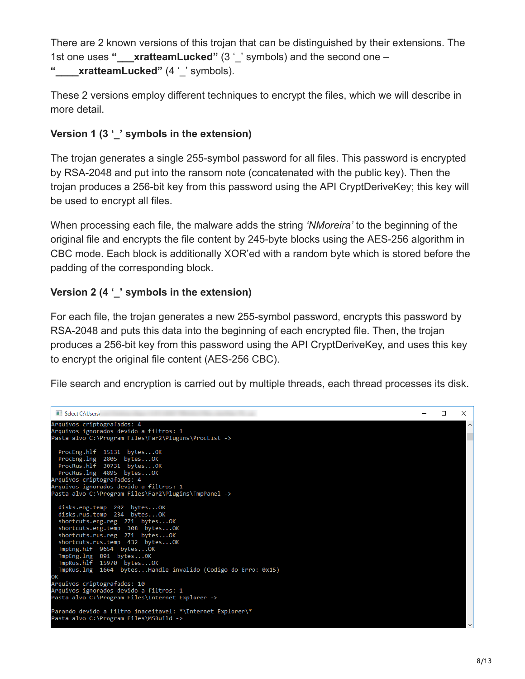There are 2 known versions of this trojan that can be distinguished by their extensions. The 1st one uses **"\_\_\_xratteamLucked"** (3 '\_' symbols) and the second one – **"\_\_\_\_xratteamLucked"** (4 '\_' symbols).

These 2 versions employ different techniques to encrypt the files, which we will describe in more detail.

#### **Version 1 (3 '\_' symbols in the extension)**

The trojan generates a single 255-symbol password for all files. This password is encrypted by RSA-2048 and put into the ransom note (concatenated with the public key). Then the trojan produces a 256-bit key from this password using the API CryptDeriveKey; this key will be used to encrypt all files.

When processing each file, the malware adds the string *'NMoreira'* to the beginning of the original file and encrypts the file content by 245-byte blocks using the AES-256 algorithm in CBC mode. Each block is additionally XOR'ed with a random byte which is stored before the padding of the corresponding block.

#### **Version 2 (4 '\_' symbols in the extension)**

For each file, the trojan generates a new 255-symbol password, encrypts this password by RSA-2048 and puts this data into the beginning of each encrypted file. Then, the trojan produces a 256-bit key from this password using the API CryptDeriveKey, and uses this key to encrypt the original file content (AES-256 CBC).

File search and encryption is carried out by multiple threads, each thread processes its disk.

```
Select C:\Users\
                                                                                                                                                                                              \equiv\Box\timesArquivos criptografados: 4
rnierier in Freegoriaanse konstantinen<br>Arquivos ignorados devido a filtros: 1<br>Pasta alvo C:\Program Files\Far2\Plugins\ProcList ->
   ProcEng.hlf 15131 bytes...OK
  ProcEng.lng 2805 bytes...OK<br>ProcEng.lng 2805 bytes...OK<br>ProcRus.hlf 30731 bytes...OK<br>ProcRus.lng 4895 bytes...OK
 Arquivos criptografados: 4
Arquivos ignorados devido a filtros: 1
 Pasta alvo C:\Program Files\Far2\Plugins\TmpPanel ->
  disks.eng.temp 202 bytes...OK<br>disks.rus.temp 234 bytes...OK
  shortcuts.eng.reg 271 bytes...0K<br>shortcuts.eng.temp 308 bytes...0K<br>shortcuts.rus.reg 271 bytes...0K
  shortcuts.rus.temp 432 bytes...ok<br>
ImpEng.hlf 9654 bytes...OK<br>
TmpEng.hlf 9654 bytes...OK<br>
TmpEng.lng 891 bytes...OK<br>
TmpRus.hlf 15970 bytes...OK<br>
TmpRus.lng 1664 bytes...Handle invalido (Codigo do Erro: 0x15)
Arquivos criptografados: 10
Arquivos irpeografaces.<br>Arquivos ignorados devido a filtros: 1
Pasta alvo C:\Program Files\Internet Explorer ->
Parando devido a filtro inaceitavel: *\Internet Explorer\*
 asta alvo C:\Program Files\MSBuild ->
```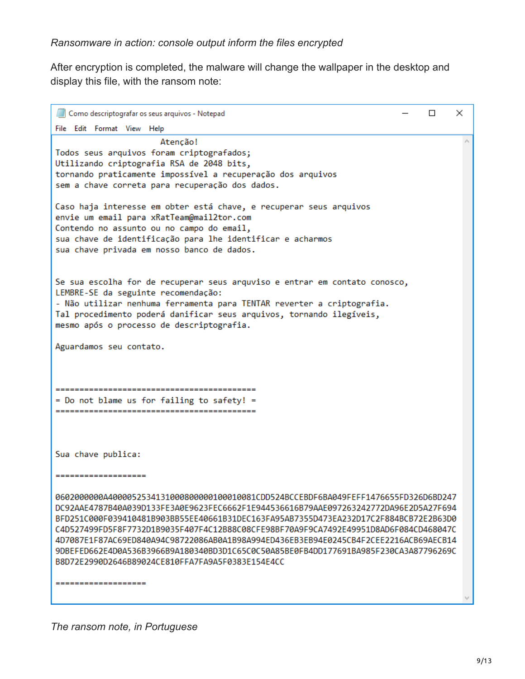After encryption is completed, the malware will change the wallpaper in the desktop and display this file, with the ransom note:

| Como descriptografar os seus arquivos - Notepad<br>П                                                                                                                                                                                                                                                                                                                                                                                                                                                                                                                                            | × |
|-------------------------------------------------------------------------------------------------------------------------------------------------------------------------------------------------------------------------------------------------------------------------------------------------------------------------------------------------------------------------------------------------------------------------------------------------------------------------------------------------------------------------------------------------------------------------------------------------|---|
| File Edit Format View Help                                                                                                                                                                                                                                                                                                                                                                                                                                                                                                                                                                      |   |
| Atencão!<br>Todos seus arquivos foram criptografados;<br>Utilizando criptografia RSA de 2048 bits,<br>tornando praticamente impossível a recuperação dos arquivos<br>sem a chave correta para recuperação dos dados.                                                                                                                                                                                                                                                                                                                                                                            |   |
| Caso haja interesse em obter está chave, e recuperar seus arquivos<br>envie um email para xRatTeam@mail2tor.com<br>Contendo no assunto ou no campo do email,<br>sua chave de identificação para lhe identificar e acharmos<br>sua chave privada em nosso banco de dados.                                                                                                                                                                                                                                                                                                                        |   |
| Se sua escolha for de recuperar seus arquviso e entrar em contato conosco,<br>LEMBRE-SE da seguinte recomendação:<br>- Não utilizar nenhuma ferramenta para TENTAR reverter a criptografia.<br>Tal procedimento poderá danificar seus arquivos, tornando ilegíveis,<br>mesmo após o processo de descriptografia.                                                                                                                                                                                                                                                                                |   |
| Aguardamos seu contato.                                                                                                                                                                                                                                                                                                                                                                                                                                                                                                                                                                         |   |
| ---------------<br>= Do not blame us for failing to safety! =                                                                                                                                                                                                                                                                                                                                                                                                                                                                                                                                   |   |
| Sua chave publica:                                                                                                                                                                                                                                                                                                                                                                                                                                                                                                                                                                              |   |
| --------------------                                                                                                                                                                                                                                                                                                                                                                                                                                                                                                                                                                            |   |
| 0602000000A400005253413100080000100010081CDD524BCCEBDF6BA049FEFF1476655FD326D6BD247<br>DC92AAE4787B40A039D133FE3A0E9623FEC6662F1E944536616B79AAE097263242772DA96E2D5A27F694<br>BFD251C000F039410481B903BB55EE40661B31DEC163FA95AB7355D473EA232D17C2F884BCB72E2B63D0<br>C4D527499FD5F8F7732D1B9035F407F4C12B88C08CFE98BF70A9F9CA7492E49951D8AD6F084CD468047C<br>4D7087E1F87AC69ED840A94C98722086AB0A1B98A994ED436EB3EB94E0245CB4F2CEE2216ACB69AECB14<br>9DBEFED662E4D0A536B3966B9A180340BD3D1C65C0C50A85BE0FB4DD177691BA985F230CA3A87796269C<br>B8D72E2990D2646B89024CE810FFA7FA9A5F0383E154E4CC |   |
| --------------------                                                                                                                                                                                                                                                                                                                                                                                                                                                                                                                                                                            |   |

*The ransom note, in Portuguese*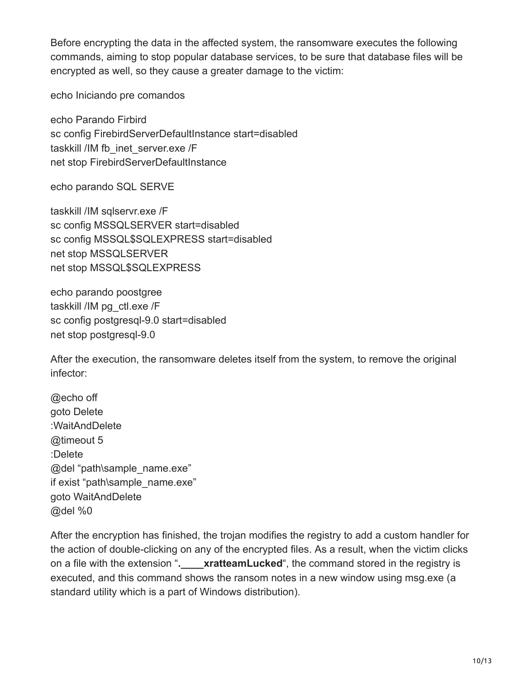Before encrypting the data in the affected system, the ransomware executes the following commands, aiming to stop popular database services, to be sure that database files will be encrypted as well, so they cause a greater damage to the victim:

echo Iniciando pre comandos

echo Parando Firbird sc config FirebirdServerDefaultInstance start=disabled taskkill /IM fb\_inet\_server.exe /F net stop FirebirdServerDefaultInstance

echo parando SQL SERVE

taskkill /IM sqlservr.exe /F sc config MSSQLSERVER start=disabled sc config MSSQL\$SQLEXPRESS start=disabled net stop MSSQLSERVER net stop MSSQL\$SQLEXPRESS

echo parando poostgree taskkill /IM pg\_ctl.exe /F sc config postgresql-9.0 start=disabled net stop postgresql-9.0

After the execution, the ransomware deletes itself from the system, to remove the original infector:

@echo off goto Delete :WaitAndDelete @timeout 5 :Delete @del "path\sample\_name.exe" if exist "path\sample\_name.exe" goto WaitAndDelete @del %0

After the encryption has finished, the trojan modifies the registry to add a custom handler for the action of double-clicking on any of the encrypted files. As a result, when the victim clicks on a file with the extension "**.\_\_\_\_xratteamLucked**", the command stored in the registry is executed, and this command shows the ransom notes in a new window using msg.exe (a standard utility which is a part of Windows distribution).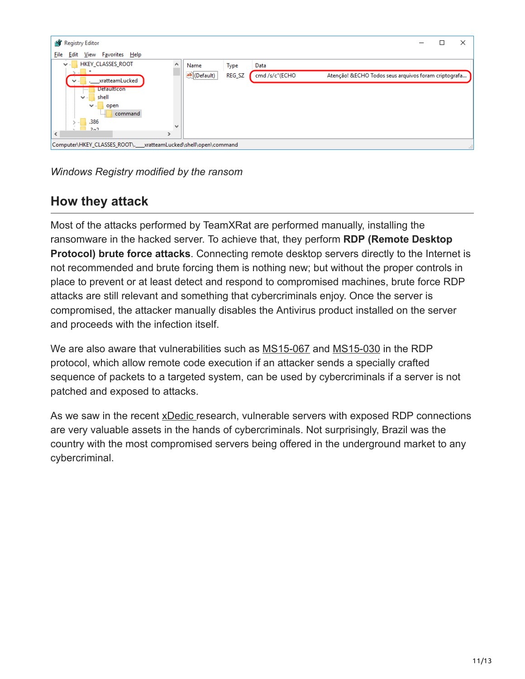

*Windows Registry modified by the ransom*

## **How they attack**

Most of the attacks performed by TeamXRat are performed manually, installing the ransomware in the hacked server. To achieve that, they perform **RDP (Remote Desktop Protocol) brute force attacks**. Connecting remote desktop servers directly to the Internet is not recommended and brute forcing them is nothing new; but without the proper controls in place to prevent or at least detect and respond to compromised machines, brute force RDP attacks are still relevant and something that cybercriminals enjoy. Once the server is compromised, the attacker manually disables the Antivirus product installed on the server and proceeds with the infection itself.

We are also aware that vulnerabilities such as [MS15-067](https://docs.microsoft.com/en-us/security-updates/securitybulletins/2015/ms15-067) and [MS15-030](https://docs.microsoft.com/en-us/security-updates/SecurityBulletins/2015/ms15-030) in the RDP protocol, which allow remote code execution if an attacker sends a specially crafted sequence of packets to a targeted system, can be used by cybercriminals if a server is not patched and exposed to attacks.

As we saw in the recent [xDedic](https://securelist.com/xdedic-the-shady-world-of-hacked-servers-for-sale/75027/) research, vulnerable servers with exposed RDP connections are very valuable assets in the hands of cybercriminals. Not surprisingly, Brazil was the country with the most compromised servers being offered in the underground market to any cybercriminal.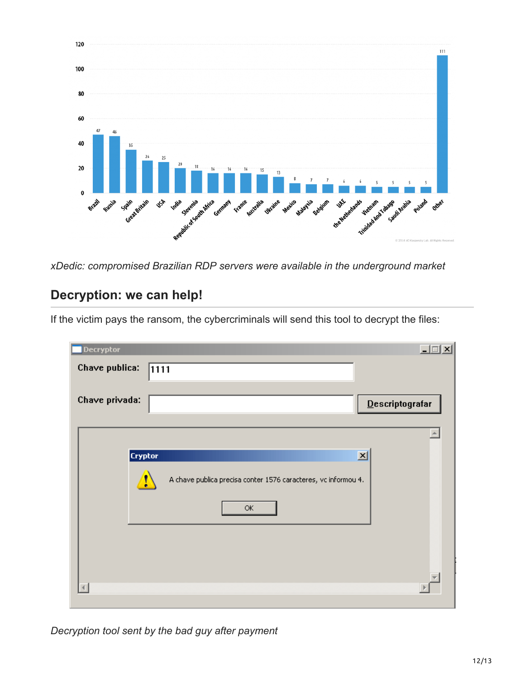

*xDedic: compromised Brazilian RDP servers were available in the underground market*

### **Decryption: we can help!**

If the victim pays the ransom, the cybercriminals will send this tool to decrypt the files:

| Decryptor      |                                                                | $\Box$             |
|----------------|----------------------------------------------------------------|--------------------|
| Chave publica: | 1111                                                           |                    |
|                |                                                                |                    |
| Chave privada: |                                                                | $D$ escriptografar |
|                |                                                                |                    |
|                |                                                                |                    |
| <b>Cryptor</b> |                                                                | $\mathbf{x}$       |
|                | A chave publica precisa conter 1576 caracteres, vc informou 4. |                    |
|                | $\mathsf{OK}% _{\mathsf{CL}}\times\mathsf{CN}_{\mathsf{CL}}$   |                    |
|                |                                                                |                    |
|                |                                                                |                    |
|                |                                                                |                    |

*Decryption tool sent by the bad guy after payment*